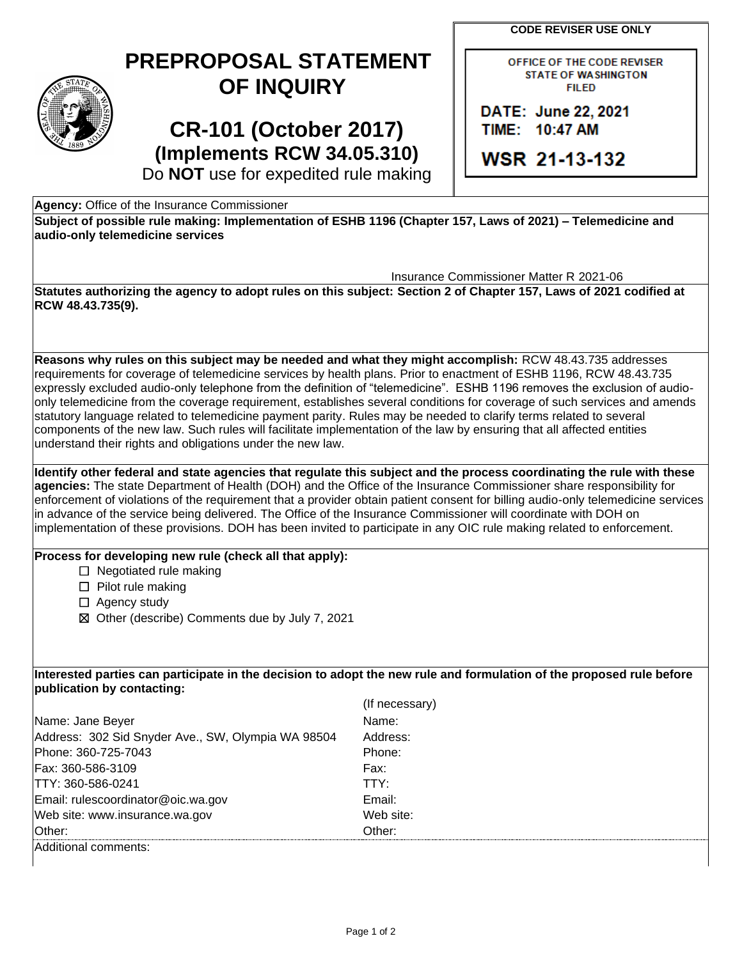**CODE REVISER USE ONLY** 

## **PREPROPOSAL STATEMENT OF INQUIRY**

**CR-101 (October 2017) (Implements RCW 34.05.310)**  OFFICE OF THE CODE REVISER **STATE OF WASHINGTON FILED** 

DATE: June 22, 2021 TIIME: 110:47 **AM** 

**WSR 21-13-132** 

Do **NOT** use for expedited rule making

**Agency:** Office of the Insurance Commissioner

 **Subject of possible rule making: Implementation of ESHB 1196 (Chapter 157, Laws of 2021) – Telemedicine and audio-only telemedicine services** 

Insurance Commissioner Matter R 2021-06

 **Statutes authorizing the agency to adopt rules on this subject: Section 2 of Chapter 157, Laws of 2021 codified at RCW 48.43.735(9).** 

 expressly excluded audio-only telephone from the definition of "telemedicine". ESHB 1196 removes the exclusion of audio- components of the new law. Such rules will facilitate implementation of the law by ensuring that all affected entities **Reasons why rules on this subject may be needed and what they might accomplish:** RCW 48.43.735 addresses requirements for coverage of telemedicine services by health plans. Prior to enactment of ESHB 1196, RCW 48.43.735 only telemedicine from the coverage requirement, establishes several conditions for coverage of such services and amends statutory language related to telemedicine payment parity. Rules may be needed to clarify terms related to several understand their rights and obligations under the new law.

 **agencies:** The state Department of Health (DOH) and the Office of the Insurance Commissioner share responsibility for **Identify other federal and state agencies that regulate this subject and the process coordinating the rule with these**  enforcement of violations of the requirement that a provider obtain patient consent for billing audio-only telemedicine services in advance of the service being delivered. The Office of the Insurance Commissioner will coordinate with DOH on implementation of these provisions. DOH has been invited to participate in any OIC rule making related to enforcement.

## **Process for developing new rule (check all that apply):**

□ Negotiated rule making

☐ Pilot rule making

□ Agency study

☒ Other (describe) Comments due by July 7, 2021

**Interested parties can participate in the decision to adopt the new rule and formulation of the proposed rule before publication by contacting:** 

|                                                    | (If necessary) |
|----------------------------------------------------|----------------|
| Name: Jane Beyer                                   | Name:          |
| Address: 302 Sid Snyder Ave., SW, Olympia WA 98504 | Address:       |
| Phone: 360-725-7043                                | Phone:         |
| Fax: 360-586-3109                                  | Fax:           |
| TTY: 360-586-0241                                  | TTY:           |
| Email: rulescoordinator@oic.wa.gov                 | Email:         |
| Web site: www.insurance.wa.gov                     | Web site:      |
| Other:                                             | Other:         |
| Additional comments:                               |                |